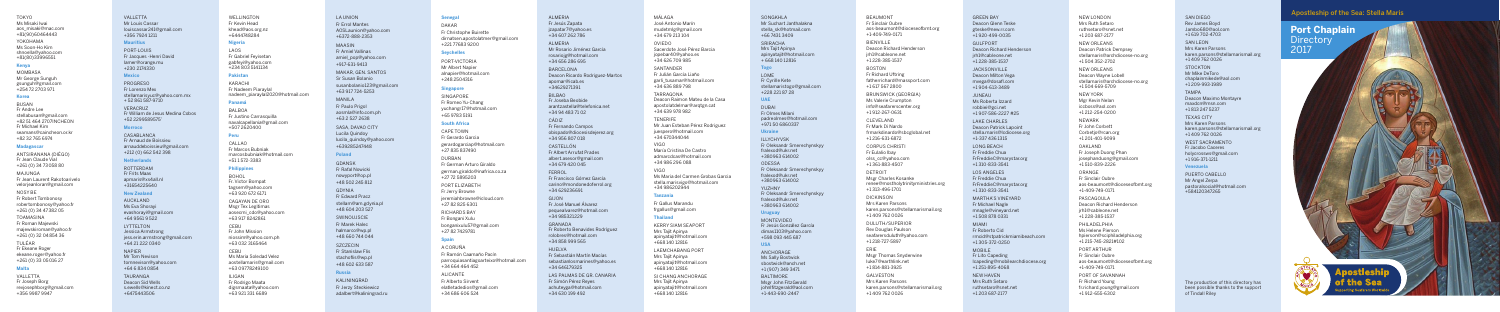# Tokyo Ms Misaki Iwai aos\_misaki@mac.com

# +81(90)60464443 Yokohama Ms Soon-Ho Kim shnoella@yahoo.com +81(80)33996551

MOMBASA Mr George Sunguh gsunguh@gmail.com +254 72 2703 971

## **Kenya**

# **Korea**

ANTSIRANANA (DIÉGO) Fr Jean Claude Vial +261 (0) 34 73 058 80

Busan Fr Andre Lee stellabusan@gmail.com +82 51 464 2707Incheon Fr Michael Kim seamans@caincheon.or.kr +82 32 765 6974

# **Madagascar**

VALLETTA Fr Joseph Borg revjosephborg@gmail.com +356 9987 9947

Ma jun ga Fr Jean Laurent Rakotoarivelo velorjeanloran@gmail.com

Nosy Be Fr Robert Tombonosy robertombonosy@yahoo.fr +261 (0) 34 47 382 05

Toa m asina Fr Roman Majewski majewskiroman@yahoo.fr +261 (0) 32 04 854 36

Cagayan de Oro Msgr Tex Legitimas aosecmi\_cdo@yahoo.com +63 917 8242861<br>CEBU

Tu léar Fr Ekeane Roger ekeane.roger@yahoo.fr +261 (0) 33 05 016 27

# **Malta**

Welli ngton Fr Kevin Head khead@aos.org.nz +6444748284

> PORT-VICTORIA Mr Albert Napier alnapier@hotmail.com +248 2504316

## **Nigeria**

Lao s Fr Gabriel Feyisetan gabfeyi@yahoo.com +234 803 5141134

## **Pakistan**

Karach i Fr Nadeem Piaraylal nadeem\_piaraylal2020@hotmail.com

> PORT ELIZABETH Fr Jerry Browne jeremiahbrowne@icloud.com +27 82 825 6301

# **Panamá**

Balboa Fr Justino Carrasquilla navalcapellania@gmail.com +507 2620400

# **Peru**

Callao Fr Marcos Bubniak marcosbubniak@hotmail.com +51 1 572-3383

> **ALICANTE** Fr Alberto Sirvent elatletadedios@gmail.com +34 686 606 524

## MALAGA José Antonio Marín mudetmlg@gmail.com

+34 679 213 104 oviedo

## **Philippines**

Bohol Fr. Victor Bompat tagsem@yahoo.com +63 920 672 6171

Fr John Mission niossim@yahoo.com.ph +63 032 3165464

Cebu Ms Maria Soledad Velez aostellamaris@gmail.com +63 09778249100

Iligan Fr Rodrigo Maata digsmaata@yahoo.com +63 921 331 6689

# LA UNION

KERRY SIAM SEAPORT Mrs Tajit Apinya apinyatajit@hotmail.com +668 140 12816

# **Senegal**

LAEMCHABANG PORT Mrs Tajit Apinya apinyatajit@hotmail.com +668 140 12816

Dakar Fr Christophe Buirette dirnatsen.apostolatmer@gmail.com +221 77683 9200

VALLETTA Mr Louis Cassar louiscassar241@gmail.com +356 7924 1211

# **Seychelles**

PORT-LOUI: Fr Jacques - Henri David lamer@orange.mu +230 2174330

## **Singapore**

Singapore Fr Romeo Yu-Chang yuchangr17@hotmail.com +65 9783 5191

CASARI ANCA Fr Arnaud de Boissieu arnauddeboissieu@gmail.com +212 (0) 662 542 398

# **South Africa**

**ROTTERDAM** Fr Frits Maas apmaris@xs4all.nl +31654225640

Cape Town Fr Gerardo Garcia gerardogarciap@hotmail.com +27 835 837490 Durban

Fr German Arturo Giraldo german.giraldo@inafrica.co.za +27 72 5895203

MAKAR, GEN. SANTOS Sr Susan Bolanio susanbolanio123@gmail.com +63 917 724-5253

> Richards Bay Fr Bongani Xulu bonganixulu57@gmail.com +27 82 7429781

# MANII A Fr Paulo Prigol

# **Spain**

SASA, DAVAO CITY Lucila Quindoy lucila\_quindoy@yahoo.com +639285247448

> A Coruña Fr Ramón Caamaño Pacín parroquiasantiagoarteixo@hotmail.com +34 664 464 452

+48 604 203 527 **SWINOUJSCIE** 

+48 660 744 044 **SZCZECIN** 

KALININGRAD Fr Jerzy Steckiewicz adalbert@kaliningrad.ru Sacerdote José Pérez Barcia jopebar40@yahoo.es +34 626 709 985

BILBAO Fr Joseba Beobide arantzastella@telefonica.net

#### San tan der

Fr Julián García Liaño garli\_tusamar@hotmail.com +34 636 889 798

+34 94 483 71 02<br>CÁDIZ Fr Fernando Campos obispado@diocesisdejerez.org +34 956 807 018

- Tarra gona Deacon Raimon Mateu de la Casa apostolatdelmar@arqtgn.cat +34 639 978 982
- Tenerife Mr Juan Esteban Pérez Rodriguez juespero@hotmail.com +34 670344044
- Vigo María Cristina De Castro admarcdcas@hotmail.com +34 986 296 088

**HUFLVA** Fr Sebastián Martín Macías sebastianlosmarines@yahoo.es +34 646179325

LAS PALMAS DE GR. CANARIA Fr Simón Pérez Reyes achuteyga@hotmail.com +34 630 199 492

# Vigo

SONGKHLA Mr Suchart Janthalakna stella\_sk@hotmail.com +66 7431 3409

Ms Maria del Carmen Grobas Garcia stella.marisvigo@hotmail.com +34 986202944

## **Tanzania**

Fr Gallus Marandu frgallus@gmail.com

**DUBAI** Fr Olmes Milani padreolmes@hotmail.com +971 50 6860337

# **Thailand**

MONTEVIDEO Fr Jesús González García dimas1103@yahoo.com +598 093 445 687

Anchora ge Ms Sally Bostwick sbostwick@anch.net +1 (907) 349 3471 Baltimore Msgr John FitzGerald iohnlfitzgerald@aol.com

Si Chang Anchora ge Mrs Tajit Apinya apinyatajit@hotmail.com +668 140 12816

BEAUMON1 Fr Sinclair Oubre aos-beaumont@dioceseofbmt.org +1-409-749-0171

# **Mauritius**

# **Mexico**

CLEVELAND Fr Mark Di Nardo frmarkdinardo@sbcglobal.net +1 216-631-6872

Pro gre so Fr Lorenzo Mex stellamarisyuc@yahoo.com.mx + 52 861 587-9710 VERACRUZ Fr William de Jesus Medina Cobos +52 2299589575'

> DETROI Msgr Charles Kosanke renee@mostholytrinityministries.org +1 313-496-1701

# **Morroco**

DULUTH/SUPERIOR Rev Douglas Paulson seafarersduluth@yahoo.com +1 218-727-5897

# **Netherlands**

**GALVESTON** Mrs Karen Parsons karen.parsons@stellamarismail.org +1 409 762 0026

# **New Zealand**

GULFPOR<sub>1</sub> Deacon Richard Henderson jrh1@cableone.net +1 228-385-1537

**JUNEAU** Ms Roberta Izzard robbiei@gci.net +1 907-586-2227 #25

Auckland Ms Eva Shorayi evashorayi@gmail.com +64 9561 9 522 LYTTELTON Jessica Armstrong jess.erin.armstrong@gmail.com +64 21 222 0340 **NAPIER** Mr Tom Nevison tomnevison@yahoo.com +64 6 834 0854 Tauran ga Deacon Sid Wells s.ewells@kinect.co.nz

LAKE CHARLES Deacon Patrick Lapoint stella.maris@lcdiocese.org +1-337 436 1315

LOS ANGELES Fr Freddie Chua FrFreddie C@marystar.org +1 310-833-3541

+6475443506

MARTHA'S VINEYARD Fr Michael Nagle mnagle@vineyard.net +1 508 878 0331 Miami

Mobile Fr Lito Capeding lcapeding@mobilearchdiocese.org +1 251-895-4068<br>NEW HAVEN

Fr Errol Mantes AOSLaunion@yahoo.com +6372-888-2353

## Maasin Fr Amiel Vallinas amiel\_pop@yahoo.com +917-631-9413

NEW LONDON Mrs Ruth Setaro ruthsetaro@snet.net +1 203 687-2177

aosmla@info.com.ph +63 2 527 2638

## **Poland**

Gdansk Fr Rafal Nowicki nowyport@op.pl +48 502 245 812

> PHILADELPHIA Ms Helene Pierson hpierson@sciphiladelphia.org +1 215-745-2821#102

Gdynia Fr Edward Pracz stellam@am.gdynia.pl

> PORT ARTHUR Fr Sinclair Oubre aos-beaumont@dioceseofbmt.org +1-409-749-0171

Fr Marek Halec halmarco@wp.pl

> PORT OF SAVANNAH Fr Richard Young fr.richard.young@gmail.com +1 912-655-6302

SAN DIEGO Rev James Boyd Jambo680@aol.com +1 619 702-4703

Fr Stanislaw Flis stachoflis@wp.pl +48 602 633 587 SAN LEON Mrs Karen Parsons karen.parsons@stellamarismail.org +1 409 762 0026

## **Russia**

**STOCKTON** Mr Mike DeToro chaplainmikede@aol.com +1 209-993-1989

## Almer ia

TEXAS CITY Mrs Karen Parsons karen.parsons@stellamarismail.org +1 409 762 0026

Fr Jesús Zapata jzapatar7@yahoo.es +34 607 262 786

> WEST SACRAMENTO Fr Jacobo Caceres holycrossws@gmail.com +1 916-371-1211

Almer ia Mr Rosario Jiménez García rosariojg@hotmail.com +34 656 286 695

## Barcelona Deacon Ricardo Rodriguez-Martos apomar@icab.es +34629271391

Castellón Fr Albert Arrufat Prades albert.asesor@gmail.com +34 679 420 045

Ferro l Fr Francisco Gómez García carino@mondonedoferrol.org +34 629236691

Gijon Fr José Manuel Álvarez pequealvarez@hotmail.com +34 985321229

Grana da Fr Roberto Benavides Rodríguez rolobres@hotmail.com +34 858 999 565

Sr iracha Mrs Tajit Apinya apinyatajit@hotmail.com + 668 140 12816

## **Togo**

Lo me Fr Cyrille Kete stellamaristogo@gmail.com +228 221 87 28

# **UAE**

# **Ukraine**

Illychyvsk Fr Oleksandr Smerechynskyy fralexod@ukr.net +380963 614002 **ODESSA** Fr Oleksandr Smerechynskyy fralexod@ukr.net +380963 614002 Yuzhny Fr Oleksandr Smerechynskyy fralexod@ukr.net +380963 614002

# **Uruguay**

# **USA**

+1-443-690-2447

**Port Chaplain Directory** 2017



# Apostleship of the Sea: Stella Maris

Bienville Deacon Richard Henderson jrh1@cableone.net +1 228-385-1537

# Boston

Fr Richard Uftring fatherrichard@massport.com +1 617 567 2800

Brunswick (Georgia) Ms Valerie Crumpton info@seafarerscenter.org +1 912-267-0631

Corpus Christi Fr Eulalio Ibay olss\_cc@yahoo.com +1 361-883-4507

Dickinson Mrs Karen Parsons karen.parsons@stellamarismail.org +1 409 762 0026

Erie Msgr Thomas Snyderwine luke7@earthlink.net +1 814-881-3925

Green Bay Deacon Glenn Teske gteske@new.rr.com +1 920-499-0035

Jack sonville Deacon Milton Vega mvega@dosafl.com +1 904-613-3489

Lon g Beach Fr Freddie Chua FrFreddie C@marystar.org +1 310-833-3541

Fr Roberto Cid rmcid@stpatrickmiamibeach.com +1 305-372-0250

Mrs Ruth Setaro ruthsetaro@snet.net +1 203 687-2177

New Orleans Deacon Patrick Dempsey stellamaris@archdiocese-no.org +1 504 352-2702 New Orleans

Deacon Wayne Lobell stellamaris@archdiocese-no.org +1 504 669-5709

New York Mgr Kevin Nelan iccboss@aol.com +1 212-254-0200

Newark Fr John Corbett Corbetio@rcan.org +1 201-401-9099

Oakland Fr Joseph Duong Phan josephanduong@gmail.com +1 510-839-2226

Orange Fr Sinclair Oubre aos-beaumont@dioceseofbmt.org +1-409-749-0171

Pa sca gou la Deacon Richard Henderson jrh1@cableone.net +1 228-385-1537

Tampa Deacon Maximo Montayre maxdcn@msn.com +1 813 247 5237

# **Venezuela**

Puer to Cabello Mr Angel Zerpa pastoralsocial@hotmail.com +584120347265

The production of this directory has been possible thanks to the support of Tindall Riley